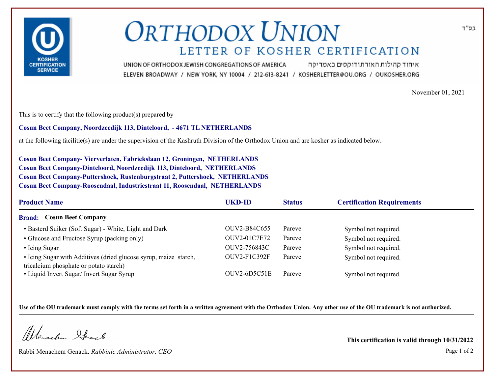

## **ORTHODOX UNION** LETTER OF KOSHER CERTIFICATION

איחוד קהילות האורתודוקסים באמריקה UNION OF ORTHODOX JEWISH CONGREGATIONS OF AMERICA ELEVEN BROADWAY / NEW YORK, NY 10004 / 212-613-8241 / KOSHERLETTER@OU.ORG / OUKOSHER.ORG

November 01, 2021

This is to certify that the following product(s) prepared by

**Cosun Beet Company, Noordzeedijk 113, Dinteloord, - 4671 TL NETHERLANDS**

at the following facilitie(s) are under the supervision of the Kashruth Division of the Orthodox Union and are kosher as indicated below.

**Cosun Beet Company- Vierverlaten, Fabriekslaan 12, Groningen, NETHERLANDS Cosun Beet Company-Dinteloord, Noordzeedijk 113, Dinteloord, NETHERLANDS Cosun Beet Company-Puttershoek, Rustenburgstraat 2, Puttershoek, NETHERLANDS Cosun Beet Company-Roosendaal, Industriestraat 11, Roosendaal, NETHERLANDS**

| <b>Product Name</b>                                                                                        | UKD-ID<br><b>Status</b> |        | <b>Certification Requirements</b> |  |
|------------------------------------------------------------------------------------------------------------|-------------------------|--------|-----------------------------------|--|
| <b>Brand: Cosun Beet Company</b>                                                                           |                         |        |                                   |  |
| • Basterd Suiker (Soft Sugar) - White, Light and Dark                                                      | OUV2-B84C655            | Pareve | Symbol not required.              |  |
| • Glucose and Fructose Syrup (packing only)                                                                | OUV2-01C7E72            | Pareve | Symbol not required.              |  |
| • Icing Sugar                                                                                              | OUV2-756843C            | Pareve | Symbol not required.              |  |
| • Icing Sugar with Additives (dried glucose syrup, maize starch,<br>tricalcium phosphate or potato starch) | $OUV2-F1C392F$          | Pareve | Symbol not required.              |  |
| • Liquid Invert Sugar/ Invert Sugar Syrup                                                                  | $OUV2-6D5C51E$          | Pareve | Symbol not required.              |  |

**Use of the OU trademark must comply with the terms set forth in a written agreement with the Orthodox Union. Any other use of the OU trademark is not authorized.**

Werschn Heart

Rabbi Menachem Genack, *Rabbinic Administrator, CEO* Page 1 of 2

**This certification is valid through 10/31/2022**

בס"ד